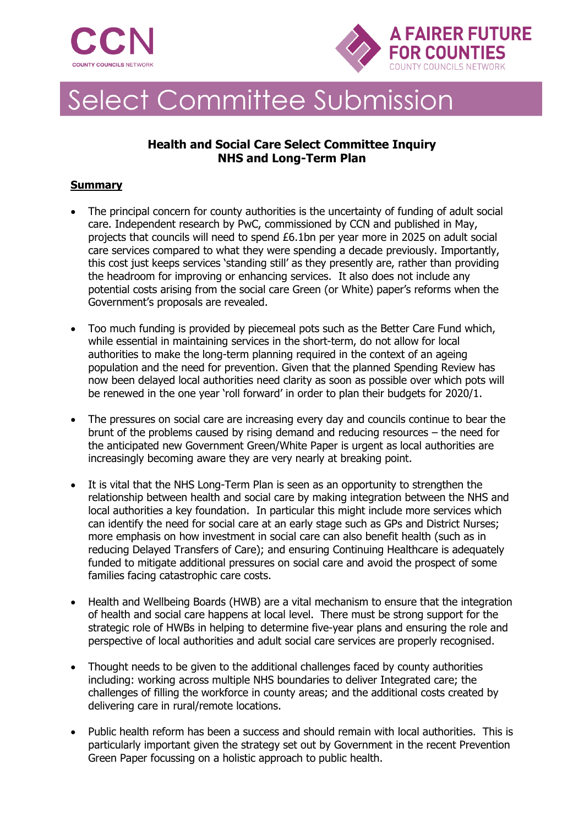



# Select Committee Submission

## **Health and Social Care Select Committee Inquiry NHS and Long-Term Plan**

#### **Summary**

- The principal concern for county authorities is the uncertainty of funding of adult social care. Independent research by PwC, commissioned by CCN and published in May, projects that councils will need to spend £6.1bn per year more in 2025 on adult social care services compared to what they were spending a decade previously. Importantly, this cost just keeps services 'standing still' as they presently are, rather than providing the headroom for improving or enhancing services. It also does not include any potential costs arising from the social care Green (or White) paper's reforms when the Government's proposals are revealed.
- Too much funding is provided by piecemeal pots such as the Better Care Fund which, while essential in maintaining services in the short-term, do not allow for local authorities to make the long-term planning required in the context of an ageing population and the need for prevention. Given that the planned Spending Review has now been delayed local authorities need clarity as soon as possible over which pots will be renewed in the one year 'roll forward' in order to plan their budgets for 2020/1.
- The pressures on social care are increasing every day and councils continue to bear the brunt of the problems caused by rising demand and reducing resources – the need for the anticipated new Government Green/White Paper is urgent as local authorities are increasingly becoming aware they are very nearly at breaking point.
- It is vital that the NHS Long-Term Plan is seen as an opportunity to strengthen the relationship between health and social care by making integration between the NHS and local authorities a key foundation. In particular this might include more services which can identify the need for social care at an early stage such as GPs and District Nurses; more emphasis on how investment in social care can also benefit health (such as in reducing Delayed Transfers of Care); and ensuring Continuing Healthcare is adequately funded to mitigate additional pressures on social care and avoid the prospect of some families facing catastrophic care costs.
- Health and Wellbeing Boards (HWB) are a vital mechanism to ensure that the integration of health and social care happens at local level. There must be strong support for the strategic role of HWBs in helping to determine five-year plans and ensuring the role and perspective of local authorities and adult social care services are properly recognised.
- Thought needs to be given to the additional challenges faced by county authorities including: working across multiple NHS boundaries to deliver Integrated care; the challenges of filling the workforce in county areas; and the additional costs created by delivering care in rural/remote locations.
- Public health reform has been a success and should remain with local authorities. This is particularly important given the strategy set out by Government in the recent Prevention Green Paper focussing on a holistic approach to public health.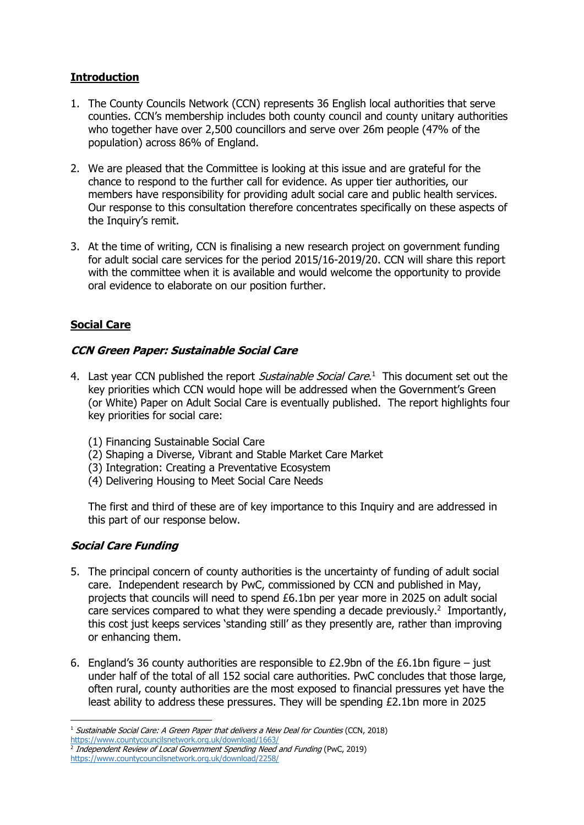#### **Introduction**

- 1. The County Councils Network (CCN) represents 36 English local authorities that serve counties. CCN's membership includes both county council and county unitary authorities who together have over 2,500 councillors and serve over 26m people (47% of the population) across 86% of England.
- 2. We are pleased that the Committee is looking at this issue and are grateful for the chance to respond to the further call for evidence. As upper tier authorities, our members have responsibility for providing adult social care and public health services. Our response to this consultation therefore concentrates specifically on these aspects of the Inquiry's remit.
- 3. At the time of writing, CCN is finalising a new research project on government funding for adult social care services for the period 2015/16-2019/20. CCN will share this report with the committee when it is available and would welcome the opportunity to provide oral evidence to elaborate on our position further.

## **Social Care**

#### **CCN Green Paper: Sustainable Social Care**

- 4. Last year CCN published the report *Sustainable Social Care*.<sup>1</sup> This document set out the key priorities which CCN would hope will be addressed when the Government's Green (or White) Paper on Adult Social Care is eventually published. The report highlights four key priorities for social care:
	- (1) Financing Sustainable Social Care
	- (2) Shaping a Diverse, Vibrant and Stable Market Care Market
	- (3) Integration: Creating a Preventative Ecosystem
	- (4) Delivering Housing to Meet Social Care Needs

The first and third of these are of key importance to this Inquiry and are addressed in this part of our response below.

### **Social Care Funding**

- 5. The principal concern of county authorities is the uncertainty of funding of adult social care. Independent research by PwC, commissioned by CCN and published in May, projects that councils will need to spend £6.1bn per year more in 2025 on adult social care services compared to what they were spending a decade previously.<sup>2</sup> Importantly, this cost just keeps services 'standing still' as they presently are, rather than improving or enhancing them.
- 6. England's 36 county authorities are responsible to  $£2.9$ bn of the  $£6.1$ bn figure just under half of the total of all 152 social care authorities. PwC concludes that those large, often rural, county authorities are the most exposed to financial pressures yet have the least ability to address these pressures. They will be spending £2.1bn more in 2025

<sup>1</sup>  $1$  Sustainable Social Care: A Green Paper that delivers a New Deal for Counties (CCN, 2018)

<https://www.countycouncilsnetwork.org.uk/download/1663/>

<sup>&</sup>lt;sup>2</sup> Independent Review of Local Government Spending Need and Funding (PwC, 2019) <https://www.countycouncilsnetwork.org.uk/download/2258/>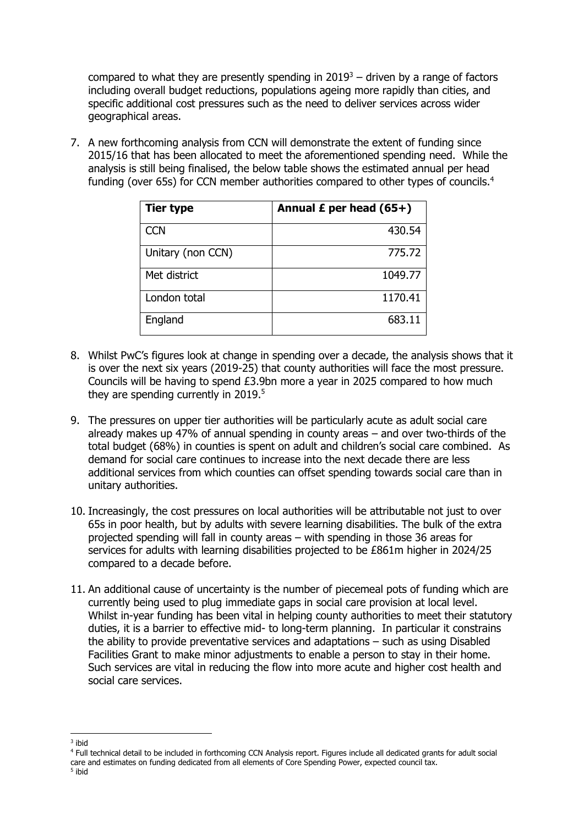compared to what they are presently spending in  $2019<sup>3</sup>$  – driven by a range of factors including overall budget reductions, populations ageing more rapidly than cities, and specific additional cost pressures such as the need to deliver services across wider geographical areas.

7. A new forthcoming analysis from CCN will demonstrate the extent of funding since 2015/16 that has been allocated to meet the aforementioned spending need. While the analysis is still being finalised, the below table shows the estimated annual per head funding (over 65s) for CCN member authorities compared to other types of councils.<sup>4</sup>

| <b>Tier type</b>  | Annual $E$ per head (65+) |
|-------------------|---------------------------|
| <b>CCN</b>        | 430.54                    |
| Unitary (non CCN) | 775.72                    |
| Met district      | 1049.77                   |
| London total      | 1170.41                   |
| England           | 683.11                    |

- 8. Whilst PwC's figures look at change in spending over a decade, the analysis shows that it is over the next six years (2019-25) that county authorities will face the most pressure. Councils will be having to spend £3.9bn more a year in 2025 compared to how much they are spending currently in  $2019<sup>5</sup>$
- 9. The pressures on upper tier authorities will be particularly acute as adult social care already makes up 47% of annual spending in county areas – and over two-thirds of the total budget (68%) in counties is spent on adult and children's social care combined. As demand for social care continues to increase into the next decade there are less additional services from which counties can offset spending towards social care than in unitary authorities.
- 10. Increasingly, the cost pressures on local authorities will be attributable not just to over 65s in poor health, but by adults with severe learning disabilities. The bulk of the extra projected spending will fall in county areas – with spending in those 36 areas for services for adults with learning disabilities projected to be £861m higher in 2024/25 compared to a decade before.
- 11. An additional cause of uncertainty is the number of piecemeal pots of funding which are currently being used to plug immediate gaps in social care provision at local level. Whilst in-year funding has been vital in helping county authorities to meet their statutory duties, it is a barrier to effective mid- to long-term planning. In particular it constrains the ability to provide preventative services and adaptations – such as using Disabled Facilities Grant to make minor adjustments to enable a person to stay in their home. Such services are vital in reducing the flow into more acute and higher cost health and social care services.

<sup>1</sup> 3 ibid

<sup>4</sup> Full technical detail to be included in forthcoming CCN Analysis report. Figures include all dedicated grants for adult social care and estimates on funding dedicated from all elements of Core Spending Power, expected council tax. 5 ibid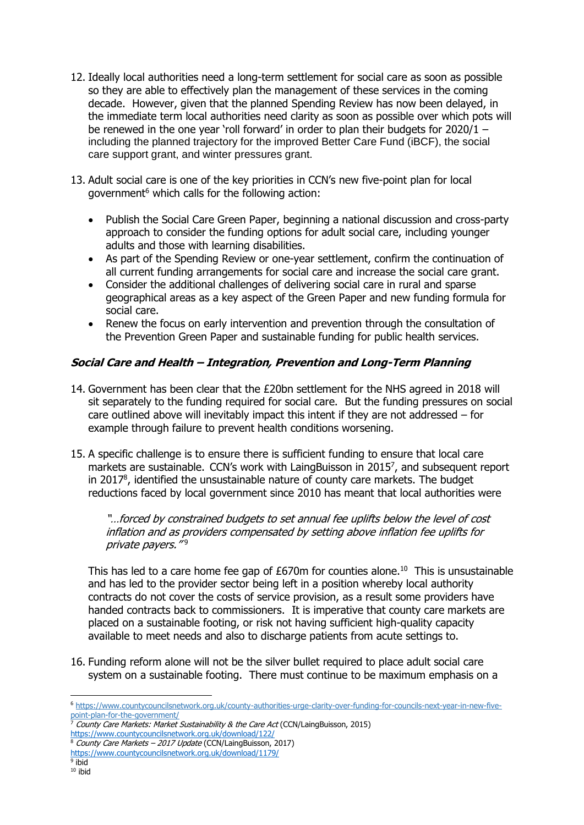- 12. Ideally local authorities need a long-term settlement for social care as soon as possible so they are able to effectively plan the management of these services in the coming decade. However, given that the planned Spending Review has now been delayed, in the immediate term local authorities need clarity as soon as possible over which pots will be renewed in the one year 'roll forward' in order to plan their budgets for 2020/1 – including the planned trajectory for the improved Better Care Fund (iBCF), the social care support grant, and winter pressures grant.
- 13. Adult social care is one of the key priorities in CCN's new five-point plan for local government<sup>6</sup> which calls for the following action:
	- Publish the Social Care Green Paper, beginning a national discussion and cross-party approach to consider the funding options for adult social care, including younger adults and those with learning disabilities.
	- As part of the Spending Review or one-year settlement, confirm the continuation of all current funding arrangements for social care and increase the social care grant.
	- Consider the additional challenges of delivering social care in rural and sparse geographical areas as a key aspect of the Green Paper and new funding formula for social care.
	- Renew the focus on early intervention and prevention through the consultation of the Prevention Green Paper and sustainable funding for public health services.

#### **Social Care and Health – Integration, Prevention and Long-Term Planning**

- 14. Government has been clear that the £20bn settlement for the NHS agreed in 2018 will sit separately to the funding required for social care. But the funding pressures on social care outlined above will inevitably impact this intent if they are not addressed – for example through failure to prevent health conditions worsening.
- 15. A specific challenge is to ensure there is sufficient funding to ensure that local care markets are sustainable. CCN's work with LaingBuisson in 2015 $^7$ , and subsequent report in 2017<sup>8</sup> , identified the unsustainable nature of county care markets. The budget reductions faced by local government since 2010 has meant that local authorities were

"…forced by constrained budgets to set annual fee uplifts below the level of cost inflation and as providers compensated by setting above inflation fee uplifts for private payers."<sup>9</sup>

This has led to a care home fee gap of  $£670m$  for counties alone.<sup>10</sup> This is unsustainable and has led to the provider sector being left in a position whereby local authority contracts do not cover the costs of service provision, as a result some providers have handed contracts back to commissioners. It is imperative that county care markets are placed on a sustainable footing, or risk not having sufficient high-quality capacity available to meet needs and also to discharge patients from acute settings to.

16. Funding reform alone will not be the silver bullet required to place adult social care system on a sustainable footing. There must continue to be maximum emphasis on a

**<sup>.</sup>** <sup>6</sup> [https://www.countycouncilsnetwork.org.uk/county-authorities-urge-clarity-over-funding-for-councils-next-year-in-new-five](https://www.countycouncilsnetwork.org.uk/county-authorities-urge-clarity-over-funding-for-councils-next-year-in-new-five-point-plan-for-the-government/)[point-plan-for-the-government/](https://www.countycouncilsnetwork.org.uk/county-authorities-urge-clarity-over-funding-for-councils-next-year-in-new-five-point-plan-for-the-government/)

<sup>&</sup>lt;sup>7</sup> County Care Markets: Market Sustainability & the Care Act (CCN/LaingBuisson, 2015)

<https://www.countycouncilsnetwork.org.uk/download/122/>

 $8$  County Care Markets – 2017 Update (CCN/LaingBuisson, 2017)

<https://www.countycouncilsnetwork.org.uk/download/1179/>

<sup>&</sup>lt;sup>9</sup> ibid  $10$  ibid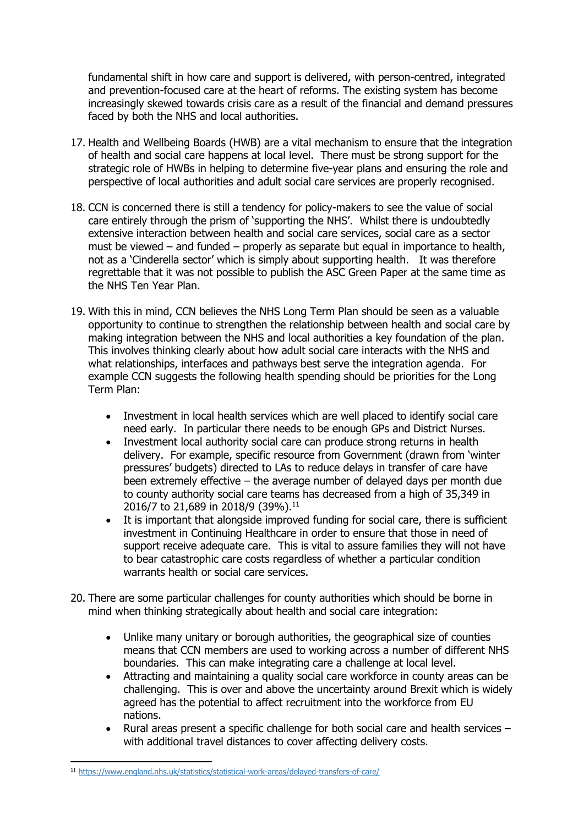fundamental shift in how care and support is delivered, with person-centred, integrated and prevention-focused care at the heart of reforms. The existing system has become increasingly skewed towards crisis care as a result of the financial and demand pressures faced by both the NHS and local authorities.

- 17. Health and Wellbeing Boards (HWB) are a vital mechanism to ensure that the integration of health and social care happens at local level. There must be strong support for the strategic role of HWBs in helping to determine five-year plans and ensuring the role and perspective of local authorities and adult social care services are properly recognised.
- 18. CCN is concerned there is still a tendency for policy-makers to see the value of social care entirely through the prism of 'supporting the NHS'. Whilst there is undoubtedly extensive interaction between health and social care services, social care as a sector must be viewed – and funded – properly as separate but equal in importance to health, not as a 'Cinderella sector' which is simply about supporting health. It was therefore regrettable that it was not possible to publish the ASC Green Paper at the same time as the NHS Ten Year Plan.
- 19. With this in mind, CCN believes the NHS Long Term Plan should be seen as a valuable opportunity to continue to strengthen the relationship between health and social care by making integration between the NHS and local authorities a key foundation of the plan. This involves thinking clearly about how adult social care interacts with the NHS and what relationships, interfaces and pathways best serve the integration agenda. For example CCN suggests the following health spending should be priorities for the Long Term Plan:
	- Investment in local health services which are well placed to identify social care need early. In particular there needs to be enough GPs and District Nurses.
	- Investment local authority social care can produce strong returns in health delivery. For example, specific resource from Government (drawn from 'winter pressures' budgets) directed to LAs to reduce delays in transfer of care have been extremely effective – the average number of delayed days per month due to county authority social care teams has decreased from a high of 35,349 in 2016/7 to 21,689 in 2018/9 (39%).<sup>11</sup>
	- It is important that alongside improved funding for social care, there is sufficient investment in Continuing Healthcare in order to ensure that those in need of support receive adequate care. This is vital to assure families they will not have to bear catastrophic care costs regardless of whether a particular condition warrants health or social care services.
- 20. There are some particular challenges for county authorities which should be borne in mind when thinking strategically about health and social care integration:
	- Unlike many unitary or borough authorities, the geographical size of counties means that CCN members are used to working across a number of different NHS boundaries. This can make integrating care a challenge at local level.
	- Attracting and maintaining a quality social care workforce in county areas can be challenging. This is over and above the uncertainty around Brexit which is widely agreed has the potential to affect recruitment into the workforce from EU nations.
	- Rural areas present a specific challenge for both social care and health services with additional travel distances to cover affecting delivery costs.

**.** 

<sup>11</sup> <https://www.england.nhs.uk/statistics/statistical-work-areas/delayed-transfers-of-care/>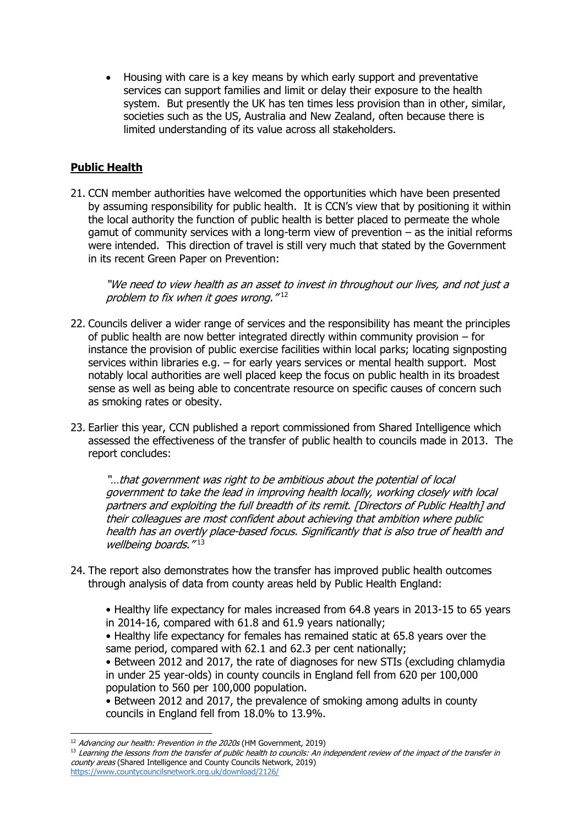• Housing with care is a key means by which early support and preventative services can support families and limit or delay their exposure to the health system. But presently the UK has ten times less provision than in other, similar, societies such as the US, Australia and New Zealand, often because there is limited understanding of its value across all stakeholders.

#### **Public Health**

21. CCN member authorities have welcomed the opportunities which have been presented by assuming responsibility for public health. It is CCN's view that by positioning it within the local authority the function of public health is better placed to permeate the whole gamut of community services with a long-term view of prevention – as the initial reforms were intended. This direction of travel is still very much that stated by the Government in its recent Green Paper on Prevention:

"We need to view health as an asset to invest in throughout our lives, and not just a problem to fix when it goes wrong."<sup>12</sup>

- 22. Councils deliver a wider range of services and the responsibility has meant the principles of public health are now better integrated directly within community provision – for instance the provision of public exercise facilities within local parks; locating signposting services within libraries e.g. – for early years services or mental health support. Most notably local authorities are well placed keep the focus on public health in its broadest sense as well as being able to concentrate resource on specific causes of concern such as smoking rates or obesity.
- 23. Earlier this year, CCN published a report commissioned from Shared Intelligence which assessed the effectiveness of the transfer of public health to councils made in 2013. The report concludes:

"…that government was right to be ambitious about the potential of local government to take the lead in improving health locally, working closely with local partners and exploiting the full breadth of its remit. [Directors of Public Health] and their colleagues are most confident about achieving that ambition where public health has an overtly place-based focus. Significantly that is also true of health and wellbeing boards."<sup>13</sup>

- 24. The report also demonstrates how the transfer has improved public health outcomes through analysis of data from county areas held by Public Health England:
	- Healthy life expectancy for males increased from 64.8 years in 2013-15 to 65 years in 2014-16, compared with 61.8 and 61.9 years nationally;
	- Healthy life expectancy for females has remained static at 65.8 years over the same period, compared with 62.1 and 62.3 per cent nationally;

• Between 2012 and 2017, the rate of diagnoses for new STIs (excluding chlamydia in under 25 year-olds) in county councils in England fell from 620 per 100,000 population to 560 per 100,000 population.

• Between 2012 and 2017, the prevalence of smoking among adults in county councils in England fell from 18.0% to 13.9%.

<sup>1</sup> <sup>12</sup> Advancing our health: Prevention in the 2020s (HM Government, 2019)

<sup>&</sup>lt;sup>13</sup> Learning the lessons from the transfer of public health to councils: An independent review of the impact of the transfer in county areas (Shared Intelligence and County Councils Network, 2019) <https://www.countycouncilsnetwork.org.uk/download/2126/>